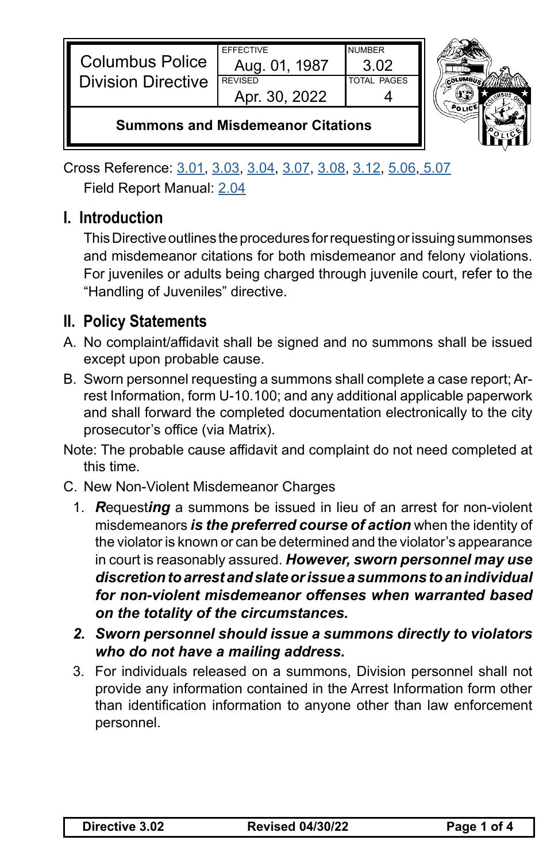| <b>Columbus Police</b><br><b>Division Directive</b> | <b>FFFFCTIVE</b><br>Aug. 01. 1987<br><b>REVISED</b><br>Apr. 30, 2022 | <b>NUMBER</b><br>3 Q2<br><b>TOTAL PAGES</b> |  |
|-----------------------------------------------------|----------------------------------------------------------------------|---------------------------------------------|--|
| <b>Summons and Misdemeanor Citations</b>            |                                                                      |                                             |  |

Cross Reference: [3.01](https://powerdms.com/link/CBUS/document/?id=1216776), [3.03](https://powerdms.com/link/CBUS/document/?id=1216780), [3.04](https://powerdms.com/link/CBUS/document/?id=1216781), [3.07](https://powerdms.com/link/CBUS/document/?id=1216785), [3.08](https://powerdms.com/link/CBUS/document/?id=1216787), [3.12](https://powerdms.com/link/CBUS/document/?id=1216796), [5.06](https://powerdms.com/link/CBUS/document/?id=1217520), [5.07](https://powerdms.com/link/CBUS/document/?id=1217522) Field Report Manual: [2.04](https://powerdms.com/link/CBUS/document/?id=1222634)

## **I. Introduction**

This Directive outlines the procedures for requesting or issuing summonses and misdemeanor citations for both misdemeanor and felony violations. For juveniles or adults being charged through juvenile court, refer to the "Handling of Juveniles" directive.

## **II. Policy Statements**

- A. No complaint/affidavit shall be signed and no summons shall be issued except upon probable cause.
- B. Sworn personnel requesting a summons shall complete a case report; Arrest Information, form U-10.100; and any additional applicable paperwork and shall forward the completed documentation electronically to the city prosecutor's office (via Matrix).
- Note: The probable cause affidavit and complaint do not need completed at this time.
- C. New Non-Violent Misdemeanor Charges
	- 1. *R*equest*ing* a summons be issued in lieu of an arrest for non-violent misdemeanors *is the preferred course of action* when the identity of the violator is known or can be determined and the violator's appearance in court is reasonably assured. *However, sworn personnel may use discretion to arrest and slate or issue a summons to an individual for non-violent misdemeanor offenses when warranted based on the totality of the circumstances.*
	- *2. Sworn personnel should issue a summons directly to violators who do not have a mailing address.*
	- 3. For individuals released on a summons, Division personnel shall not provide any information contained in the Arrest Information form other than identification information to anyone other than law enforcement personnel.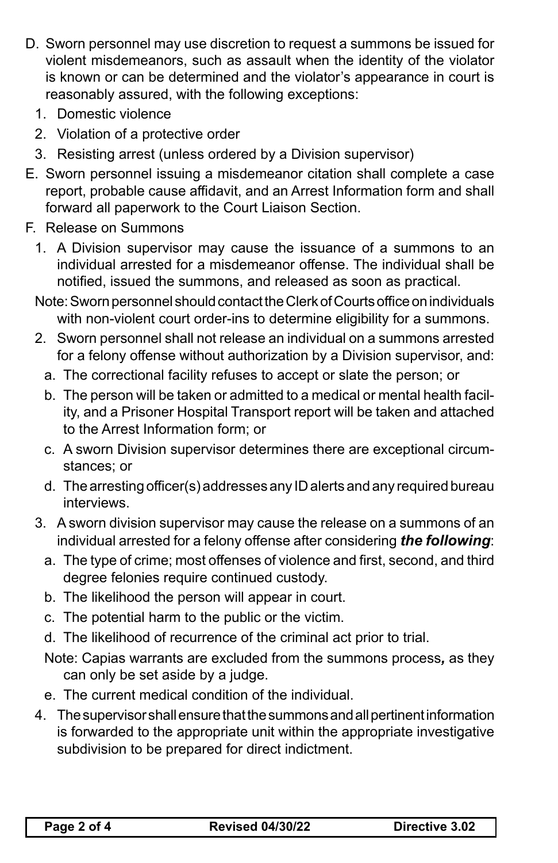- D. Sworn personnel may use discretion to request a summons be issued for violent misdemeanors, such as assault when the identity of the violator is known or can be determined and the violator's appearance in court is reasonably assured, with the following exceptions:
	- 1. Domestic violence
	- 2. Violation of a protective order
	- 3. Resisting arrest (unless ordered by a Division supervisor)
- E. Sworn personnel issuing a misdemeanor citation shall complete a case report, probable cause affidavit, and an Arrest Information form and shall forward all paperwork to the Court Liaison Section.
- F. Release on Summons
	- 1. A Division supervisor may cause the issuance of a summons to an individual arrested for a misdemeanor offense. The individual shall be notified, issued the summons, and released as soon as practical.
	- Note: Sworn personnel should contact the Clerk of Courts office on individuals with non-violent court order-ins to determine eligibility for a summons.
	- 2. Sworn personnel shall not release an individual on a summons arrested for a felony offense without authorization by a Division supervisor, and:
		- a. The correctional facility refuses to accept or slate the person; or
		- b. The person will be taken or admitted to a medical or mental health facility, and a Prisoner Hospital Transport report will be taken and attached to the Arrest Information form; or
		- c. A sworn Division supervisor determines there are exceptional circumstances; or
		- d. The arresting officer(s) addresses any ID alerts and any required bureau interviews.
	- 3. A sworn division supervisor may cause the release on a summons of an individual arrested for a felony offense after considering *the following*:
		- a. The type of crime; most offenses of violence and first, second, and third degree felonies require continued custody.
		- b. The likelihood the person will appear in court.
		- c. The potential harm to the public or the victim.
		- d. The likelihood of recurrence of the criminal act prior to trial.
		- Note: Capias warrants are excluded from the summons process*,* as they can only be set aside by a judge.
		- e. The current medical condition of the individual.
	- 4. The supervisor shall ensure that the summons and all pertinent information is forwarded to the appropriate unit within the appropriate investigative subdivision to be prepared for direct indictment.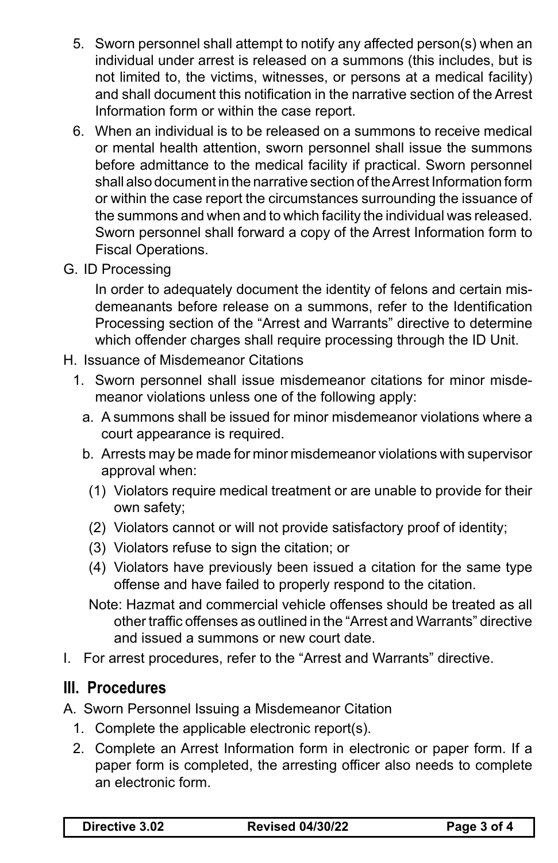- 5. Sworn personnel shall attempt to notify any affected person(s) when an individual under arrest is released on a summons (this includes, but is not limited to, the victims, witnesses, or persons at a medical facility) and shall document this notification in the narrative section of the Arrest Information form or within the case report.
- 6. When an individual is to be released on a summons to receive medical or mental health attention, sworn personnel shall issue the summons before admittance to the medical facility if practical. Sworn personnel shall also document in the narrative section of the Arrest Information form or within the case report the circumstances surrounding the issuance of the summons and when and to which facility the individual was released. Sworn personnel shall forward a copy of the Arrest Information form to Fiscal Operations.
- G. ID Processing

In order to adequately document the identity of felons and certain misdemeanants before release on a summons, refer to the Identification Processing section of the "Arrest and Warrants" directive to determine which offender charges shall require processing through the ID Unit.

- H. Issuance of Misdemeanor Citations
	- 1. Sworn personnel shall issue misdemeanor citations for minor misdemeanor violations unless one of the following apply:
		- a. A summons shall be issued for minor misdemeanor violations where a court appearance is required.
		- b. Arrests may be made for minor misdemeanor violations with supervisor approval when:
			- (1) Violators require medical treatment or are unable to provide for their own safety;
			- (2) Violators cannot or will not provide satisfactory proof of identity;
			- (3) Violators refuse to sign the citation; or
			- (4) Violators have previously been issued a citation for the same type offense and have failed to properly respond to the citation.
			- Note: Hazmat and commercial vehicle offenses should be treated as all other traffic offenses as outlined in the "Arrest and Warrants" directive and issued a summons or new court date.
- I. For arrest procedures, refer to the "Arrest and Warrants" directive.

## **III. Procedures**

- A. Sworn Personnel Issuing a Misdemeanor Citation
	- 1. Complete the applicable electronic report(s).
	- 2. Complete an Arrest Information form in electronic or paper form. If a paper form is completed, the arresting officer also needs to complete an electronic form.